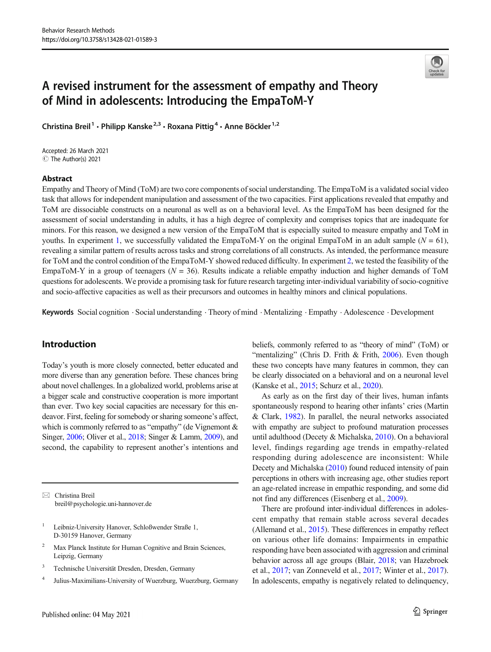

# A revised instrument for the assessment of empathy and Theory of Mind in adolescents: Introducing the EmpaToM-Y

Christina Breil<sup>1</sup> · Philipp Kanske<sup>2,3</sup> · Roxana Pittig<sup>4</sup> · Anne Böckler<sup>1,2</sup>

Accepted: 26 March 2021 C The Author(s) 2021

## Abstract

Empathy and Theory of Mind (ToM) are two core components of social understanding. The EmpaToM is a validated social video task that allows for independent manipulation and assessment of the two capacities. First applications revealed that empathy and ToM are dissociable constructs on a neuronal as well as on a behavioral level. As the EmpaToM has been designed for the assessment of social understanding in adults, it has a high degree of complexity and comprises topics that are inadequate for minors. For this reason, we designed a new version of the EmpaToM that is especially suited to measure empathy and ToM in youths. In experiment [1](#page-2-0), we successfully validated the EmpaToM-Y on the original EmpaToM in an adult sample ( $N = 61$ ), revealing a similar pattern of results across tasks and strong correlations of all constructs. As intended, the performance measure for ToM and the control condition of the EmpaToM-Y showed reduced difficulty. In experiment [2](#page-7-0), we tested the feasibility of the EmpaToM-Y in a group of teenagers ( $N = 36$ ). Results indicate a reliable empathy induction and higher demands of ToM questions for adolescents. We provide a promising task for future research targeting inter-individual variability of socio-cognitive and socio-affective capacities as well as their precursors and outcomes in healthy minors and clinical populations.

Keywords Social cognition . Social understanding . Theory of mind . Mentalizing . Empathy . Adolescence . Development

# Introduction

Today's youth is more closely connected, better educated and more diverse than any generation before. These chances bring about novel challenges. In a globalized world, problems arise at a bigger scale and constructive cooperation is more important than ever. Two key social capacities are necessary for this endeavor. First, feeling for somebody or sharing someone's affect, which is commonly referred to as "empathy" (de Vignemont & Singer, [2006;](#page-12-0) Oliver et al., [2018;](#page-13-0) Singer & Lamm, [2009](#page-13-0)), and second, the capability to represent another's intentions and

 $\boxtimes$  Christina Breil [breil@psychologie.uni-hannover.de](mailto:breil@psychologie.uni-hannover.de)

- <sup>1</sup> Leibniz-University Hanover, Schloßwender Straße 1, D-30159 Hanover, Germany
- <sup>2</sup> Max Planck Institute for Human Cognitive and Brain Sciences, Leipzig, Germany
- <sup>3</sup> Technische Universität Dresden, Dresden, Germany
- <sup>4</sup> Julius-Maximilians-University of Wuerzburg, Wuerzburg, Germany

beliefs, commonly referred to as "theory of mind" (ToM) or "mentalizing" (Chris D. Frith & Frith, [2006\)](#page-12-0). Even though these two concepts have many features in common, they can be clearly dissociated on a behavioral and on a neuronal level (Kanske et al., [2015;](#page-12-0) Schurz et al., [2020](#page-13-0)).

As early as on the first day of their lives, human infants spontaneously respond to hearing other infants' cries (Martin & Clark, [1982\)](#page-13-0). In parallel, the neural networks associated with empathy are subject to profound maturation processes until adulthood (Decety & Michalska, [2010\)](#page-12-0). On a behavioral level, findings regarding age trends in empathy-related responding during adolescence are inconsistent: While Decety and Michalska [\(2010\)](#page-12-0) found reduced intensity of pain perceptions in others with increasing age, other studies report an age-related increase in empathic responding, and some did not find any differences (Eisenberg et al., [2009](#page-12-0)).

There are profound inter-individual differences in adolescent empathy that remain stable across several decades (Allemand et al., [2015\)](#page-11-0). These differences in empathy reflect on various other life domains: Impairments in empathic responding have been associated with aggression and criminal behavior across all age groups (Blair, [2018;](#page-12-0) van Hazebroek et al., [2017;](#page-13-0) van Zonneveld et al., [2017;](#page-13-0) Winter et al., [2017\)](#page-14-0). In adolescents, empathy is negatively related to delinquency,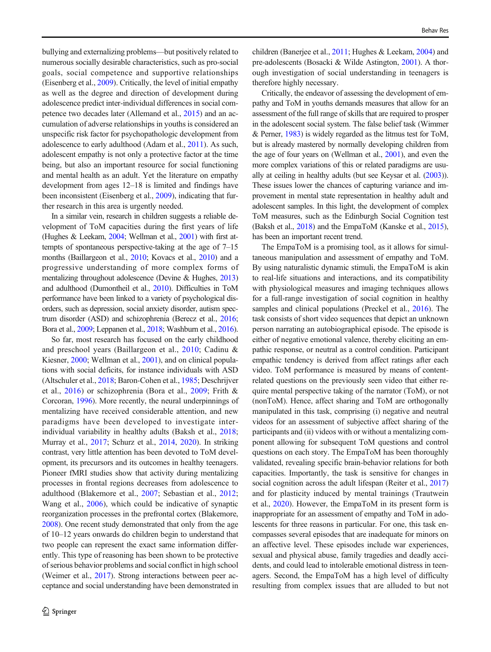bullying and externalizing problems—but positively related to numerous socially desirable characteristics, such as pro-social goals, social competence and supportive relationships (Eisenberg et al., [2009\)](#page-12-0). Critically, the level of initial empathy as well as the degree and direction of development during adolescence predict inter-individual differences in social competence two decades later (Allemand et al., [2015](#page-11-0)) and an accumulation of adverse relationships in youths is considered an unspecific risk factor for psychopathologic development from adolescence to early adulthood (Adam et al., [2011](#page-11-0)). As such, adolescent empathy is not only a protective factor at the time being, but also an important resource for social functioning and mental health as an adult. Yet the literature on empathy development from ages 12–18 is limited and findings have been inconsistent (Eisenberg et al., [2009](#page-12-0)), indicating that further research in this area is urgently needed.

In a similar vein, research in children suggests a reliable development of ToM capacities during the first years of life (Hughes & Leekam, [2004;](#page-12-0) Wellman et al., [2001](#page-14-0)) with first attempts of spontaneous perspective-taking at the age of 7–15 months (Baillargeon et al., [2010;](#page-11-0) Kovacs et al., [2010\)](#page-12-0) and a progressive understanding of more complex forms of mentalizing throughout adolescence (Devine & Hughes, [2013\)](#page-12-0) and adulthood (Dumontheil et al., [2010\)](#page-12-0). Difficulties in ToM performance have been linked to a variety of psychological disorders, such as depression, social anxiety disorder, autism spectrum disorder (ASD) and schizophrenia (Berecz et al., [2016](#page-11-0); Bora et al., [2009](#page-12-0); Leppanen et al., [2018](#page-13-0); Washburn et al., [2016\)](#page-14-0).

So far, most research has focused on the early childhood and preschool years (Baillargeon et al., [2010](#page-11-0); Cadinu & Kiesner, [2000;](#page-12-0) Wellman et al., [2001\)](#page-14-0), and on clinical populations with social deficits, for instance individuals with ASD (Altschuler et al., [2018](#page-11-0); Baron-Cohen et al., [1985;](#page-11-0) Deschrijver et al., [2016](#page-12-0)) or schizophrenia (Bora et al., [2009](#page-12-0); Frith & Corcoran, [1996\)](#page-12-0). More recently, the neural underpinnings of mentalizing have received considerable attention, and new paradigms have been developed to investigate interindividual variability in healthy adults (Baksh et al., [2018](#page-11-0); Murray et al., [2017;](#page-13-0) Schurz et al., [2014,](#page-13-0) [2020](#page-13-0)). In striking contrast, very little attention has been devoted to ToM development, its precursors and its outcomes in healthy teenagers. Pioneer fMRI studies show that activity during mentalizing processes in frontal regions decreases from adolescence to adulthood (Blakemore et al., [2007;](#page-12-0) Sebastian et al., [2012](#page-13-0); Wang et al., [2006](#page-14-0)), which could be indicative of synaptic reorganization processes in the prefrontal cortex (Blakemore, [2008\)](#page-12-0). One recent study demonstrated that only from the age of 10–12 years onwards do children begin to understand that two people can represent the exact same information differently. This type of reasoning has been shown to be protective of serious behavior problems and social conflict in high school (Weimer et al., [2017](#page-14-0)). Strong interactions between peer acceptance and social understanding have been demonstrated in

children (Banerjee et al., [2011](#page-11-0); Hughes & Leekam, [2004\)](#page-12-0) and pre-adolescents (Bosacki & Wilde Astington, [2001\)](#page-12-0). A thorough investigation of social understanding in teenagers is therefore highly necessary.

Critically, the endeavor of assessing the development of empathy and ToM in youths demands measures that allow for an assessment of the full range of skills that are required to prosper in the adolescent social system. The false belief task (Wimmer & Perner, [1983\)](#page-14-0) is widely regarded as the litmus test for ToM, but is already mastered by normally developing children from the age of four years on (Wellman et al., [2001](#page-14-0)), and even the more complex variations of this or related paradigms are usually at ceiling in healthy adults (but see Keysar et al. ([2003\)](#page-12-0)). These issues lower the chances of capturing variance and improvement in mental state representation in healthy adult and adolescent samples. In this light, the development of complex ToM measures, such as the Edinburgh Social Cognition test (Baksh et al., [2018](#page-11-0)) and the EmpaToM (Kanske et al., [2015\)](#page-12-0), has been an important recent trend.

The EmpaToM is a promising tool, as it allows for simultaneous manipulation and assessment of empathy and ToM. By using naturalistic dynamic stimuli, the EmpaToM is akin to real-life situations and interactions, and its compatibility with physiological measures and imaging techniques allows for a full-range investigation of social cognition in healthy samples and clinical populations (Preckel et al., [2016\)](#page-13-0). The task consists of short video sequences that depict an unknown person narrating an autobiographical episode. The episode is either of negative emotional valence, thereby eliciting an empathic response, or neutral as a control condition. Participant empathic tendency is derived from affect ratings after each video. ToM performance is measured by means of contentrelated questions on the previously seen video that either require mental perspective taking of the narrator (ToM), or not (nonToM). Hence, affect sharing and ToM are orthogonally manipulated in this task, comprising (i) negative and neutral videos for an assessment of subjective affect sharing of the participants and (ii) videos with or without a mentalizing component allowing for subsequent ToM questions and control questions on each story. The EmpaToM has been thoroughly validated, revealing specific brain-behavior relations for both capacities. Importantly, the task is sensitive for changes in social cognition across the adult lifespan (Reiter et al., [2017](#page-13-0)) and for plasticity induced by mental trainings (Trautwein et al., [2020\)](#page-13-0). However, the EmpaToM in its present form is inappropriate for an assessment of empathy and ToM in adolescents for three reasons in particular. For one, this task encompasses several episodes that are inadequate for minors on an affective level. These episodes include war experiences, sexual and physical abuse, family tragedies and deadly accidents, and could lead to intolerable emotional distress in teenagers. Second, the EmpaToM has a high level of difficulty resulting from complex issues that are alluded to but not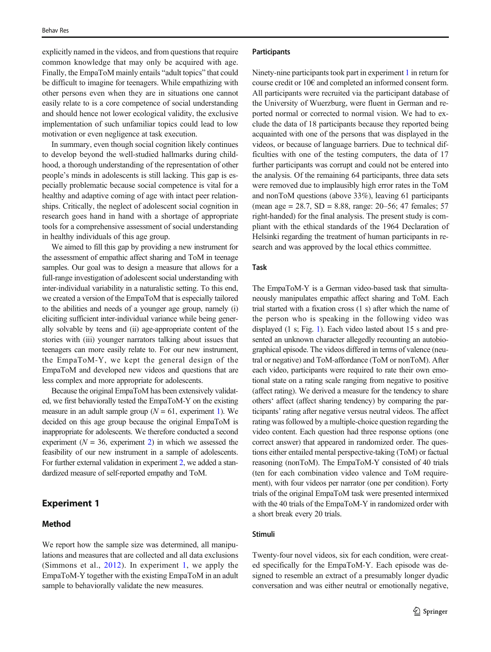<span id="page-2-0"></span>explicitly named in the videos, and from questions that require common knowledge that may only be acquired with age. Finally, the EmpaToM mainly entails "adult topics" that could be difficult to imagine for teenagers. While empathizing with other persons even when they are in situations one cannot easily relate to is a core competence of social understanding and should hence not lower ecological validity, the exclusive implementation of such unfamiliar topics could lead to low motivation or even negligence at task execution.

In summary, even though social cognition likely continues to develop beyond the well-studied hallmarks during childhood, a thorough understanding of the representation of other people's minds in adolescents is still lacking. This gap is especially problematic because social competence is vital for a healthy and adaptive coming of age with intact peer relationships. Critically, the neglect of adolescent social cognition in research goes hand in hand with a shortage of appropriate tools for a comprehensive assessment of social understanding in healthy individuals of this age group.

We aimed to fill this gap by providing a new instrument for the assessment of empathic affect sharing and ToM in teenage samples. Our goal was to design a measure that allows for a full-range investigation of adolescent social understanding with inter-individual variability in a naturalistic setting. To this end, we created a version of the EmpaToM that is especially tailored to the abilities and needs of a younger age group, namely (i) eliciting sufficient inter-individual variance while being generally solvable by teens and (ii) age-appropriate content of the stories with (iii) younger narrators talking about issues that teenagers can more easily relate to. For our new instrument, the EmpaToM-Y, we kept the general design of the EmpaToM and developed new videos and questions that are less complex and more appropriate for adolescents.

Because the original EmpaToM has been extensively validated, we first behaviorally tested the EmpaToM-Y on the existing measure in an adult sample group ( $N = 61$ , experiment 1). We decided on this age group because the original EmpaToM is inappropriate for adolescents. We therefore conducted a second experiment ( $N = 36$ , experiment [2\)](#page-7-0) in which we assessed the feasibility of our new instrument in a sample of adolescents. For further external validation in experiment [2](#page-7-0), we added a standardized measure of self-reported empathy and ToM.

## Experiment 1

## Method

We report how the sample size was determined, all manipulations and measures that are collected and all data exclusions (Simmons et al., [2012](#page-13-0)). In experiment 1, we apply the EmpaToM-Y together with the existing EmpaToM in an adult sample to behaviorally validate the new measures.

#### **Participants**

Ninety-nine participants took part in experiment 1 in return for course credit or 10€ and completed an informed consent form. All participants were recruited via the participant database of the University of Wuerzburg, were fluent in German and reported normal or corrected to normal vision. We had to exclude the data of 18 participants because they reported being acquainted with one of the persons that was displayed in the videos, or because of language barriers. Due to technical difficulties with one of the testing computers, the data of 17 further participants was corrupt and could not be entered into the analysis. Of the remaining 64 participants, three data sets were removed due to implausibly high error rates in the ToM and nonToM questions (above 33%), leaving 61 participants (mean age = 28.7, SD = 8.88, range: 20–56; 47 females; 57 right-handed) for the final analysis. The present study is compliant with the ethical standards of the 1964 Declaration of Helsinki regarding the treatment of human participants in research and was approved by the local ethics committee.

## Task

The EmpaToM-Y is a German video-based task that simultaneously manipulates empathic affect sharing and ToM. Each trial started with a fixation cross (1 s) after which the name of the person who is speaking in the following video was displayed (1 s; Fig. [1\)](#page-3-0). Each video lasted about 15 s and presented an unknown character allegedly recounting an autobiographical episode. The videos differed in terms of valence (neutral or negative) and ToM-affordance (ToM or nonToM). After each video, participants were required to rate their own emotional state on a rating scale ranging from negative to positive (affect rating). We derived a measure for the tendency to share others' affect (affect sharing tendency) by comparing the participants' rating after negative versus neutral videos. The affect rating was followed by a multiple-choice question regarding the video content. Each question had three response options (one correct answer) that appeared in randomized order. The questions either entailed mental perspective-taking (ToM) or factual reasoning (nonToM). The EmpaToM-Y consisted of 40 trials (ten for each combination video valence and ToM requirement), with four videos per narrator (one per condition). Forty trials of the original EmpaToM task were presented intermixed with the 40 trials of the EmpaToM-Y in randomized order with a short break every 20 trials.

#### Stimuli

Twenty-four novel videos, six for each condition, were created specifically for the EmpaToM-Y. Each episode was designed to resemble an extract of a presumably longer dyadic conversation and was either neutral or emotionally negative,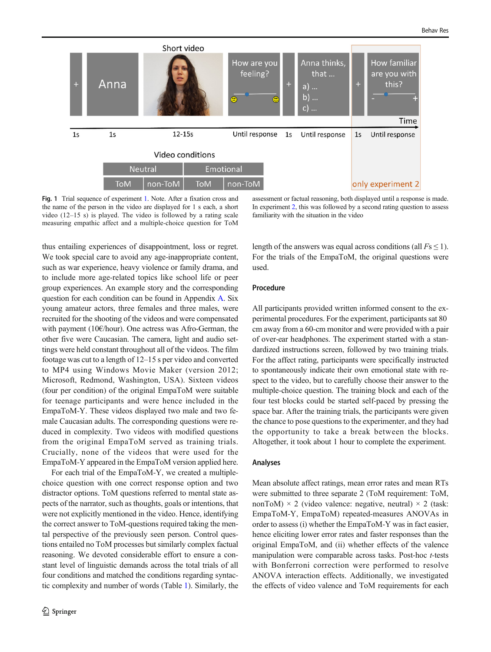<span id="page-3-0"></span>

Fig. 1 Trial sequence of experiment [1.](#page-2-0) Note. After a fixation cross and the name of the person in the video are displayed for 1 s each, a short video (12–15 s) is played. The video is followed by a rating scale measuring empathic affect and a multiple-choice question for ToM

assessment or factual reasoning, both displayed until a response is made. In experiment [2](#page-7-0), this was followed by a second rating question to assess familiarity with the situation in the video

thus entailing experiences of disappointment, loss or regret. We took special care to avoid any age-inappropriate content, such as war experience, heavy violence or family drama, and to include more age-related topics like school life or peer group experiences. An example story and the corresponding question for each condition can be found in Appendix A. Six young amateur actors, three females and three males, were recruited for the shooting of the videos and were compensated with payment (10€/hour). One actress was Afro-German, the other five were Caucasian. The camera, light and audio settings were held constant throughout all of the videos. The film footage was cut to a length of 12–15 s per video and converted to MP4 using Windows Movie Maker (version 2012; Microsoft, Redmond, Washington, USA). Sixteen videos (four per condition) of the original EmpaToM were suitable for teenage participants and were hence included in the EmpaToM-Y. These videos displayed two male and two female Caucasian adults. The corresponding questions were reduced in complexity. Two videos with modified questions from the original EmpaToM served as training trials. Crucially, none of the videos that were used for the EmpaToM-Y appeared in the EmpaToM version applied here.

For each trial of the EmpaToM-Y, we created a multiplechoice question with one correct response option and two distractor options. ToM questions referred to mental state aspects of the narrator, such as thoughts, goals or intentions, that were not explicitly mentioned in the video. Hence, identifying the correct answer to ToM-questions required taking the mental perspective of the previously seen person. Control questions entailed no ToM processes but similarly complex factual reasoning. We devoted considerable effort to ensure a constant level of linguistic demands across the total trials of all four conditions and matched the conditions regarding syntactic complexity and number of words (Table [1](#page-4-0)). Similarly, the length of the answers was equal across conditions (all  $Fs \leq 1$ ). For the trials of the EmpaToM, the original questions were used.

## Procedure

All participants provided written informed consent to the experimental procedures. For the experiment, participants sat 80 cm away from a 60-cm monitor and were provided with a pair of over-ear headphones. The experiment started with a standardized instructions screen, followed by two training trials. For the affect rating, participants were specifically instructed to spontaneously indicate their own emotional state with respect to the video, but to carefully choose their answer to the multiple-choice question. The training block and each of the four test blocks could be started self-paced by pressing the space bar. After the training trials, the participants were given the chance to pose questions to the experimenter, and they had the opportunity to take a break between the blocks. Altogether, it took about 1 hour to complete the experiment.

#### Analyses

Mean absolute affect ratings, mean error rates and mean RTs were submitted to three separate 2 (ToM requirement: ToM, nonToM)  $\times$  2 (video valence: negative, neutral)  $\times$  2 (task: EmpaToM-Y, EmpaToM) repeated-measures ANOVAs in order to assess (i) whether the EmpaToM-Y was in fact easier, hence eliciting lower error rates and faster responses than the original EmpaToM, and (ii) whether effects of the valence manipulation were comparable across tasks. Post-hoc t-tests with Bonferroni correction were performed to resolve ANOVA interaction effects. Additionally, we investigated the effects of video valence and ToM requirements for each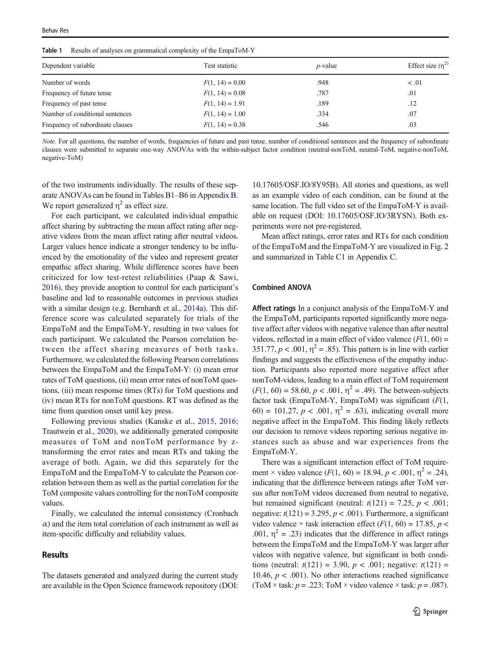<span id="page-4-0"></span>Table 1 Results of analyses on grammatical complexity of the EmpaToM-Y

| Dependent variable               | Test statistic    | $p$ -value | Effect size $(\eta^2)$ |  |
|----------------------------------|-------------------|------------|------------------------|--|
| Number of words                  | $F(1, 14) = 0.00$ | .948       | < 0.01                 |  |
| Frequency of future tense        | $F(1, 14) = 0.08$ | .787       | .01                    |  |
| Frequency of past tense          | $F(1, 14) = 1.91$ | .189       | .12                    |  |
| Number of conditional sentences  | $F(1, 14) = 1.00$ | .334       | .07                    |  |
| Frequency of subordinate clauses | $F(1, 14) = 0.38$ | .546       | .03                    |  |
|                                  |                   |            |                        |  |

Note. For all questions, the number of words, frequencies of future and past tense, number of conditional sentences and the frequency of subordinate clauses were submitted to separate one-way ANOVAs with the within-subject factor condition (neutral-nonToM, neutral-ToM, negative-nonToM, negative-ToM)

of the two instruments individually. The results of these separate ANOVAs can be found in Tables B1–B6 in Appendix B. We report generalized  $\eta^2$  as effect size.

For each participant, we calculated individual empathic affect sharing by subtracting the mean affect rating after negative videos from the mean affect rating after neutral videos. Larger values hence indicate a stronger tendency to be influenced by the emotionality of the video and represent greater empathic affect sharing. While difference scores have been criticized for low test-retest reliabilities (Paap & Sawi, [2016\)](#page-13-0), they provide anoption to control for each participant's baseline and led to reasonable outcomes in previous studies with a similar design (e.g. Bernhardt et al., [2014a\)](#page-12-0). This difference score was calculated separately for trials of the EmpaToM and the EmpaToM-Y, resulting in two values for each participant. We calculated the Pearson correlation between the affect sharing measures of both tasks. Furthermore, we calculated the following Pearson correlations between the EmpaToM and the EmpaToM-Y: (i) mean error rates of ToM questions, (ii) mean error rates of nonToM questions, (iii) mean response times (RTs) for ToM questions and (iv) mean RTs for nonToM questions. RT was defined as the time from question onset until key press.

Following previous studies (Kanske et al., [2015](#page-12-0), [2016](#page-12-0); Trautwein et al., [2020](#page-13-0)), we additionally generated composite measures of ToM and nonToM performance by ztransforming the error rates and mean RTs and taking the average of both. Again, we did this separately for the EmpaToM and the EmpaToM-Y to calculate the Pearson correlation between them as well as the partial correlation for the ToM composite values controlling for the nonToM composite values.

Finally, we calculated the internal consistency (Cronbach  $\alpha$ ) and the item total correlation of each instrument as well as item-specific difficulty and reliability values.

## **Results**

The datasets generated and analyzed during the current study are available in the Open Science framework repository (DOI:

10.17605/OSF.IO/8Y95B). All stories and questions, as well as an example video of each condition, can be found at the same location. The full video set of the EmpaToM-Y is available on request (DOI: 10.17605/OSF.IO/3RYSN). Both experiments were not pre-registered.

Mean affect ratings, error rates and RTs for each condition of the EmpaToM and the EmpaToM-Y are visualized in Fig. [2](#page-5-0) and summarized in Table C1 in Appendix C.

#### Combined ANOVA

Affect ratings In a conjunct analysis of the EmpaToM-Y and the EmpaToM, participants reported significantly more negative affect after videos with negative valence than after neutral videos, reflected in a main effect of video valence  $(F(1, 60))$  = 351.77,  $p < .001$ ,  $\eta^2 = .85$ ). This pattern is in line with earlier findings and suggests the effectiveness of the empathy induction. Participants also reported more negative affect after nonToM-videos, leading to a main effect of ToM requirement  $(F(1, 60) = 58.60, p < .001, \eta^2 = .49)$ . The between-subjects factor task (EmpaToM-Y, EmpaToM) was significant  $(F(1,$ 60) = 101.27,  $p < .001$ ,  $\eta^2 = .63$ ), indicating overall more negative affect in the EmpaToM. This finding likely reflects our decision to remove videos reporting serious negative instances such as abuse and war experiences from the EmpaToM-Y.

There was a significant interaction effect of ToM requirement × video valence  $(F(1, 60) = 18.94, p < .001, \eta^2 = .24)$ , indicating that the difference between ratings after ToM versus after nonToM videos decreased from neutral to negative, but remained significant (neutral:  $t(121) = 7.25$ ,  $p < .001$ ; negative:  $t(121) = 3.295$ ,  $p < .001$ ). Furthermore, a significant video valence  $\times$  task interaction effect ( $F(1, 60) = 17.85$ ,  $p <$ .001,  $\eta^2$  = .23) indicates that the difference in affect ratings between the EmpaToM and the EmpaToM-Y was larger after videos with negative valence, but significant in both conditions (neutral:  $t(121) = 3.90, p < .001$ ; negative:  $t(121) =$ 10.46,  $p < .001$ ). No other interactions reached significance (ToM  $\times$  task:  $p = .223$ ; ToM  $\times$  video valence  $\times$  task:  $p = .087$ ).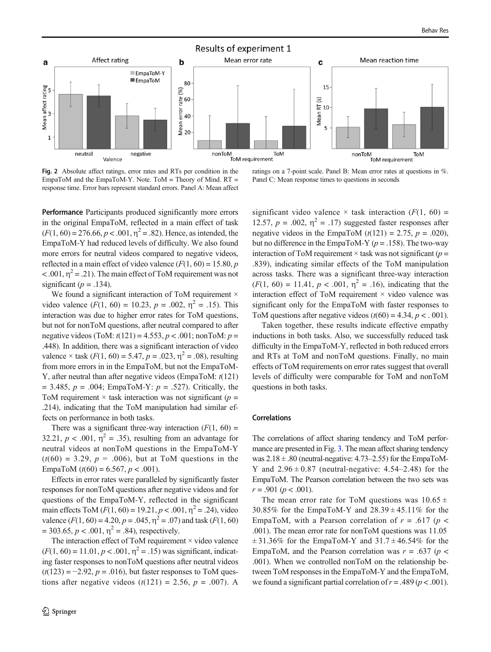<span id="page-5-0"></span>

Fig. 2 Absolute affect ratings, error rates and RTs per condition in the EmpaToM and the EmpaToM-Y. Note. ToM = Theory of Mind.  $RT =$ response time. Error bars represent standard errors. Panel A: Mean affect

ratings on a 7-point scale. Panel B: Mean error rates at questions in %. Panel C: Mean response times to questions in seconds

Performance Participants produced significantly more errors in the original EmpaToM, reflected in a main effect of task  $(F(1, 60) = 276.66, p < .001, \eta^2 = .82)$ . Hence, as intended, the EmpaToM-Y had reduced levels of difficulty. We also found more errors for neutral videos compared to negative videos, reflected in a main effect of video valence  $(F(1, 60) = 15.80, p$  $< .001$ ,  $\eta^2 = .21$ ). The main effect of ToM requirement was not significant ( $p = .134$ ).

We found a significant interaction of ToM requirement  $\times$ video valence  $(F(1, 60) = 10.23, p = .002, \eta^2 = .15)$ . This interaction was due to higher error rates for ToM questions, but not for nonToM questions, after neutral compared to after negative videos (ToM:  $t(121) = 4.553$ ,  $p < .001$ ; nonToM:  $p =$ .448). In addition, there was a significant interaction of video valence  $\times$  task ( $F(1, 60) = 5.47$ ,  $p = .023$ ,  $\eta^2 = .08$ ), resulting from more errors in in the EmpaToM, but not the EmpaToM-Y, after neutral than after negative videos (EmpaToM:  $t(121)$ ) = 3.485,  $p = .004$ ; EmpaToM-Y:  $p = .527$ ). Critically, the ToM requirement  $\times$  task interaction was not significant ( $p =$ .214), indicating that the ToM manipulation had similar effects on performance in both tasks.

There was a significant three-way interaction  $(F(1, 60))$  = 32.21,  $p < .001$ ,  $\eta^2 = .35$ ), resulting from an advantage for neutral videos at nonToM questions in the EmpaToM-Y  $(t(60) = 3.29, p = .006)$ , but at ToM questions in the EmpaToM  $(t(60) = 6.567, p < .001)$ .

Effects in error rates were paralleled by significantly faster responses for nonToM questions after negative videos and for questions of the EmpaToM-Y, reflected in the significant main effects ToM  $(F(1, 60) = 19.21, p < .001, \eta^2 = .24)$ , video valence  $(F(1, 60) = 4.20, p = .045, \eta^2 = .07)$  and task  $(F(1, 60)$  $= 303.65, p < .001, \eta^2 = .84$ ), respectively.

The interaction effect of ToM requirement  $\times$  video valence  $(F(1, 60) = 11.01, p < .001, \eta^2 = .15)$  was significant, indicating faster responses to nonToM questions after neutral videos  $(t(123) = -2.92, p = .016)$ , but faster responses to ToM questions after negative videos  $(t(121) = 2.56, p = .007)$ . A significant video valence  $\times$  task interaction ( $F(1, 60) =$ 12.57,  $p = .002$ ,  $\eta^2 = .17$ ) suggested faster responses after negative videos in the EmpaToM  $(t(121) = 2.75, p = .020)$ , but no difference in the EmpaToM-Y ( $p = .158$ ). The two-way interaction of ToM requirement  $\times$  task was not significant ( $p =$ .839), indicating similar effects of the ToM manipulation across tasks. There was a significant three-way interaction  $(F(1, 60) = 11.41, p < .001, \eta^2 = .16)$ , indicating that the interaction effect of ToM requirement  $\times$  video valence was significant only for the EmpaToM with faster responses to ToM questions after negative videos  $(t(60) = 4.34, p < .001)$ .

Taken together, these results indicate effective empathy inductions in both tasks. Also, we successfully reduced task difficulty in the EmpaToM-Y, reflected in both reduced errors and RTs at ToM and nonToM questions. Finally, no main effects of ToM requirements on error rates suggest that overall levels of difficulty were comparable for ToM and nonToM questions in both tasks.

#### Correlations

The correlations of affect sharing tendency and ToM performance are presented in Fig. [3](#page-6-0). The mean affect sharing tendency was  $2.18 \pm .80$  (neutral-negative: 4.73–2.55) for the EmpaToM-Y and  $2.96 \pm 0.87$  (neutral-negative: 4.54–2.48) for the EmpaToM. The Pearson correlation between the two sets was  $r = .901 (p < .001)$ .

The mean error rate for ToM questions was  $10.65 \pm$ 30.85% for the EmpaToM-Y and  $28.39 \pm 45.11\%$  for the EmpaToM, with a Pearson correlation of  $r = .617$  ( $p <$ .001). The mean error rate for nonToM questions was 11.05  $\pm$  31.36% for the EmpaToM-Y and 31.7  $\pm$  46.54% for the EmpaToM, and the Pearson correlation was  $r = .637$  ( $p <$ .001). When we controlled nonToM on the relationship between ToM responses in the EmpaToM-Y and the EmpaToM, we found a significant partial correlation of  $r = .489$  ( $p < .001$ ).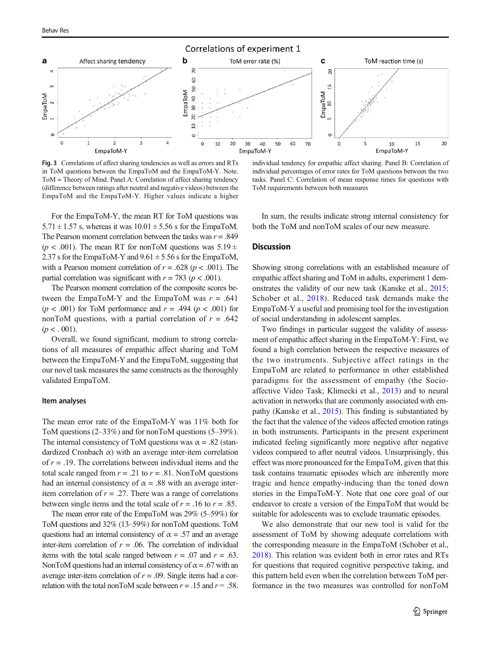<span id="page-6-0"></span>

Fig. 3 Correlations of affect sharing tendencies as well as errors and RTs in ToM questions between the EmpaToM and the EmpaToM-Y. Note. ToM = Theory of Mind. Panel A: Correlation of affect sharing tendency (difference between ratings after neutral and negative videos) between the EmpaToM and the EmpaToM-Y. Higher values indicate a higher

individual tendency for empathic affect sharing. Panel B: Correlation of individual percentages of error rates for ToM questions between the two tasks. Panel C: Correlation of mean response times for questions with ToM requirements between both measures

For the EmpaToM-Y, the mean RT for ToM questions was  $5.71 \pm 1.57$  s, whereas it was  $10.01 \pm 5.56$  s for the EmpaToM. The Pearson moment correlation between the tasks was  $r = .849$ ( $p < .001$ ). The mean RT for nonToM questions was  $5.19 \pm 10^{-1}$ 2.37 s for the EmpaToM-Y and  $9.61 \pm 5.56$  s for the EmpaToM, with a Pearson moment correlation of  $r = .628$  ( $p < .001$ ). The partial correlation was significant with  $r = 783$  ( $p < .001$ ).

The Pearson moment correlation of the composite scores between the EmpaToM-Y and the EmpaToM was  $r = .641$ ( $p < .001$ ) for ToM performance and  $r = .494$  ( $p < .001$ ) for nonToM questions, with a partial correlation of  $r = .642$  $(p < . 001)$ .

Overall, we found significant, medium to strong correlations of all measures of empathic affect sharing and ToM between the EmpaToM-Y and the EmpaToM, suggesting that our novel task measures the same constructs as the thoroughly validated EmpaToM.

#### Item analyses

The mean error rate of the EmpaToM-Y was 11% both for ToM questions (2–33%) and for nonToM questions (5–39%). The internal consistency of ToM questions was  $\alpha = .82$  (standardized Cronbach α) with an average inter-item correlation of  $r = .19$ . The correlations between individual items and the total scale ranged from  $r = .21$  to  $r = .81$ . NonToM questions had an internal consistency of  $\alpha = .88$  with an average interitem correlation of  $r = .27$ . There was a range of correlations between single items and the total scale of  $r = .16$  to  $r = .85$ .

The mean error rate of the EmpaToM was 29% (5–59%) for ToM questions and 32% (13–59%) for nonToM questions. ToM questions had an internal consistency of  $\alpha = .57$  and an average inter-item correlation of  $r = 0.06$ . The correlation of individual items with the total scale ranged between  $r = .07$  and  $r = .63$ . NonToM questions had an internal consistency of  $\alpha$  = .67 with an average inter-item correlation of  $r = .09$ . Single items had a correlation with the total nonToM scale between  $r = .15$  and  $r = .58$ .

In sum, the results indicate strong internal consistency for both the ToM and nonToM scales of our new measure.

## **Discussion**

Showing strong correlations with an established measure of empathic affect sharing and ToM in adults, experiment [1](#page-2-0) demonstrates the validity of our new task (Kanske et al., [2015;](#page-12-0) Schober et al., [2018](#page-13-0)). Reduced task demands make the EmpaToM-Y a useful and promising tool for the investigation of social understanding in adolescent samples.

Two findings in particular suggest the validity of assessment of empathic affect sharing in the EmpaToM-Y: First, we found a high correlation between the respective measures of the two instruments. Subjective affect ratings in the EmpaToM are related to performance in other established paradigms for the assessment of empathy (the Socioaffective Video Task; Klimecki et al., [2013\)](#page-12-0) and to neural activation in networks that are commonly associated with empathy (Kanske et al., [2015\)](#page-12-0). This finding is substantiated by the fact that the valence of the videos affected emotion ratings in both instruments. Participants in the present experiment indicated feeling significantly more negative after negative videos compared to after neutral videos. Unsurprisingly, this effect was more pronounced for the EmpaToM, given that this task contains traumatic episodes which are inherently more tragic and hence empathy-inducing than the toned down stories in the EmpaToM-Y. Note that one core goal of our endeavor to create a version of the EmpaToM that would be suitable for adolescents was to exclude traumatic episodes.

We also demonstrate that our new tool is valid for the assessment of ToM by showing adequate correlations with the corresponding measure in the EmpaToM (Schober et al., [2018\)](#page-13-0). This relation was evident both in error rates and RTs for questions that required cognitive perspective taking, and this pattern held even when the correlation between ToM performance in the two measures was controlled for nonToM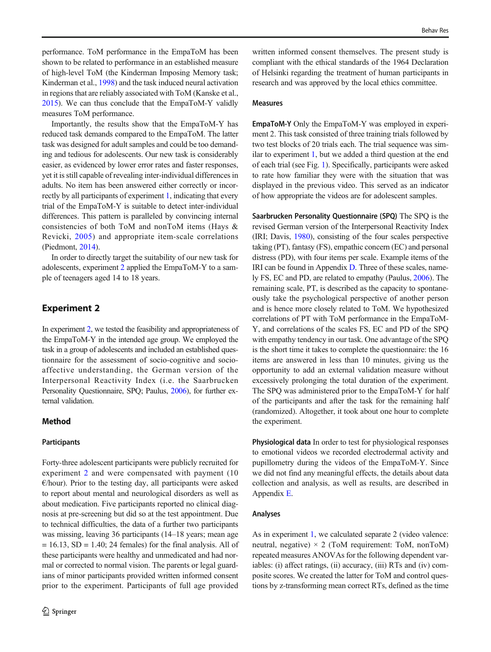<span id="page-7-0"></span>performance. ToM performance in the EmpaToM has been shown to be related to performance in an established measure of high-level ToM (the Kinderman Imposing Memory task; Kinderman et al., [1998](#page-12-0)) and the task induced neural activation in regions that are reliably associated with ToM (Kanske et al., [2015\)](#page-12-0). We can thus conclude that the EmpaToM-Y validly measures ToM performance.

Importantly, the results show that the EmpaToM-Y has reduced task demands compared to the EmpaToM. The latter task was designed for adult samples and could be too demanding and tedious for adolescents. Our new task is considerably easier, as evidenced by lower error rates and faster responses, yet it is still capable of revealing inter-individual differences in adults. No item has been answered either correctly or incorrectly by all participants of experiment [1,](#page-2-0) indicating that every trial of the EmpaToM-Y is suitable to detect inter-individual differences. This pattern is paralleled by convincing internal consistencies of both ToM and nonToM items (Hays & Revicki, [2005](#page-12-0)) and appropriate item-scale correlations (Piedmont, [2014\)](#page-13-0).

In order to directly target the suitability of our new task for adolescents, experiment 2 applied the EmpaToM-Y to a sample of teenagers aged 14 to 18 years.

## Experiment 2

In experiment 2, we tested the feasibility and appropriateness of the EmpaToM-Y in the intended age group. We employed the task in a group of adolescents and included an established questionnaire for the assessment of socio-cognitive and socioaffective understanding, the German version of the Interpersonal Reactivity Index (i.e. the Saarbrucken Personality Questionnaire, SPQ; Paulus, [2006](#page-13-0)), for further external validation.

## Method

#### **Participants**

Forty-three adolescent participants were publicly recruited for experiment 2 and were compensated with payment (10  $\epsilon$ /hour). Prior to the testing day, all participants were asked to report about mental and neurological disorders as well as about medication. Five participants reported no clinical diagnosis at pre-screening but did so at the test appointment. Due to technical difficulties, the data of a further two participants was missing, leaving 36 participants (14–18 years; mean age  $= 16.13$ , SD  $= 1.40$ ; 24 females) for the final analysis. All of these participants were healthy and unmedicated and had normal or corrected to normal vision. The parents or legal guardians of minor participants provided written informed consent prior to the experiment. Participants of full age provided

written informed consent themselves. The present study is compliant with the ethical standards of the 1964 Declaration of Helsinki regarding the treatment of human participants in research and was approved by the local ethics committee.

## Measures

EmpaToM-Y Only the EmpaToM-Y was employed in experiment 2. This task consisted of three training trials followed by two test blocks of 20 trials each. The trial sequence was similar to experiment [1,](#page-2-0) but we added a third question at the end of each trial (see Fig. [1\)](#page-3-0). Specifically, participants were asked to rate how familiar they were with the situation that was displayed in the previous video. This served as an indicator of how appropriate the videos are for adolescent samples.

Saarbrucken Personality Questionnaire (SPQ) The SPQ is the revised German version of the Interpersonal Reactivity Index (IRI; Davis, [1980](#page-12-0)), consisting of the four scales perspective taking (PT), fantasy (FS), empathic concern (EC) and personal distress (PD), with four items per scale. Example items of the IRI can be found in Appendix D. Three of these scales, namely FS, EC and PD, are related to empathy (Paulus, [2006](#page-13-0)). The remaining scale, PT, is described as the capacity to spontaneously take the psychological perspective of another person and is hence more closely related to ToM. We hypothesized correlations of PT with ToM performance in the EmpaToM-Y, and correlations of the scales FS, EC and PD of the SPQ with empathy tendency in our task. One advantage of the SPQ is the short time it takes to complete the questionnaire: the 16 items are answered in less than 10 minutes, giving us the opportunity to add an external validation measure without excessively prolonging the total duration of the experiment. The SPQ was administered prior to the EmpaToM-Y for half of the participants and after the task for the remaining half (randomized). Altogether, it took about one hour to complete the experiment.

Physiological data In order to test for physiological responses to emotional videos we recorded electrodermal activity and pupillometry during the videos of the EmpaToM-Y. Since we did not find any meaningful effects, the details about data collection and analysis, as well as results, are described in Appendix E.

#### Analyses

As in experiment [1](#page-2-0), we calculated separate 2 (video valence: neutral, negative)  $\times$  2 (ToM requirement: ToM, nonToM) repeated measures ANOVAs for the following dependent variables: (i) affect ratings, (ii) accuracy, (iii) RTs and (iv) composite scores. We created the latter for ToM and control questions by z-transforming mean correct RTs, defined as the time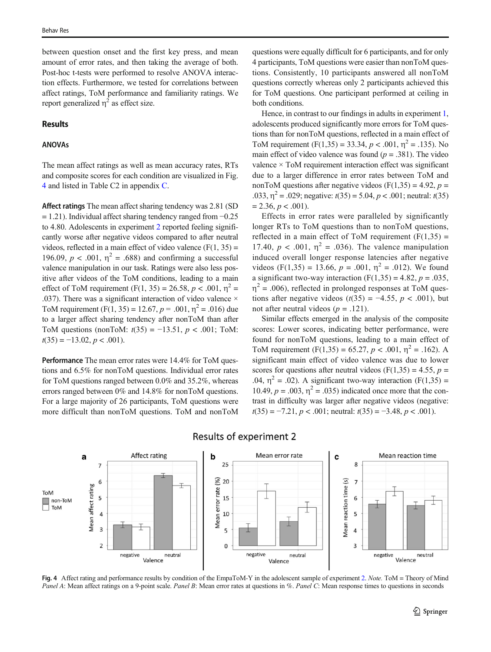between question onset and the first key press, and mean amount of error rates, and then taking the average of both. Post-hoc t-tests were performed to resolve ANOVA interaction effects. Furthermore, we tested for correlations between affect ratings, ToM performance and familiarity ratings. We report generalized  $\eta^2$  as effect size.

#### Results

## ANOVAs

The mean affect ratings as well as mean accuracy rates, RTs and composite scores for each condition are visualized in Fig. 4 and listed in Table C2 in appendix C.

Affect ratings The mean affect sharing tendency was 2.81 (SD  $= 1.21$ ). Individual affect sharing tendency ranged from  $-0.25$ to 4.80. Adolescents in experiment [2](#page-7-0) reported feeling significantly worse after negative videos compared to after neutral videos, reflected in a main effect of video valence  $(F(1, 35))$  = 196.09,  $p < .001$ ,  $\eta^2 = .688$ ) and confirming a successful valence manipulation in our task. Ratings were also less positive after videos of the ToM conditions, leading to a main effect of ToM requirement (F(1, 35) = 26.58,  $p < .001$ ,  $n^2 =$ .037). There was a significant interaction of video valence  $\times$ ToM requirement (F(1, 35) = 12.67,  $p = .001$ ,  $\eta^2 = .016$ ) due to a larger affect sharing tendency after nonToM than after ToM questions (nonToM:  $t(35) = -13.51$ ,  $p < .001$ ; ToM:  $t(35) = -13.02, p < .001$ ).

Performance The mean error rates were 14.4% for ToM questions and 6.5% for nonToM questions. Individual error rates for ToM questions ranged between 0.0% and 35.2%, whereas errors ranged between 0% and 14.8% for nonToM questions. For a large majority of 26 participants, ToM questions were more difficult than nonToM questions. ToM and nonToM questions were equally difficult for 6 participants, and for only 4 participants, ToM questions were easier than nonToM questions. Consistently, 10 participants answered all nonToM questions correctly whereas only 2 participants achieved this for ToM questions. One participant performed at ceiling in both conditions.

Hence, in contrast to our findings in adults in experiment [1,](#page-2-0) adolescents produced significantly more errors for ToM questions than for nonToM questions, reflected in a main effect of ToM requirement  $(F(1,35) = 33.34, p < .001, \eta^2 = .135)$ . No main effect of video valence was found ( $p = .381$ ). The video valence × ToM requirement interaction effect was significant due to a larger difference in error rates between ToM and nonToM questions after negative videos (F(1,35) = 4.92,  $p =$ .033,  $\eta^2$  = .029; negative:  $t(35)$  = 5.04,  $p < .001$ ; neutral:  $t(35)$  $= 2.36, p < .001$ ).

Effects in error rates were paralleled by significantly longer RTs to ToM questions than to nonToM questions, reflected in a main effect of ToM requirement  $(F(1,35))$  = 17.40,  $p < .001$ ,  $\eta^2 = .036$ ). The valence manipulation induced overall longer response latencies after negative videos (F(1,35) = 13.66,  $p = .001$ ,  $\eta^2 = .012$ ). We found a significant two-way interaction  $(F(1,35) = 4.82, p = .035,$  $\eta^2$  = .006), reflected in prolonged responses at ToM questions after negative videos ( $t(35) = -4.55$ ,  $p < .001$ ), but not after neutral videos ( $p = .121$ ).

Similar effects emerged in the analysis of the composite scores: Lower scores, indicating better performance, were found for nonToM questions, leading to a main effect of ToM requirement  $(F(1,35) = 65.27, p < .001, \eta^2 = .162)$ . A significant main effect of video valence was due to lower scores for questions after neutral videos (F(1,35) = 4.55,  $p =$ .04,  $\eta^2$  = .02). A significant two-way interaction (F(1,35) = 10.49,  $p = .003$ ,  $\eta^2 = .035$ ) indicated once more that the contrast in difficulty was larger after negative videos (negative:  $t(35) = -7.21, p < .001$ ; neutral:  $t(35) = -3.48, p < .001$ ).



## **Results of experiment 2**

Fig. 4 Affect rating and performance results by condition of the EmpaToM-Y in the adolescent sample of experiment [2.](#page-7-0) Note. ToM = Theory of Mind Panel A: Mean affect ratings on a 9-point scale. Panel B: Mean error rates at questions in %. Panel C: Mean response times to questions in seconds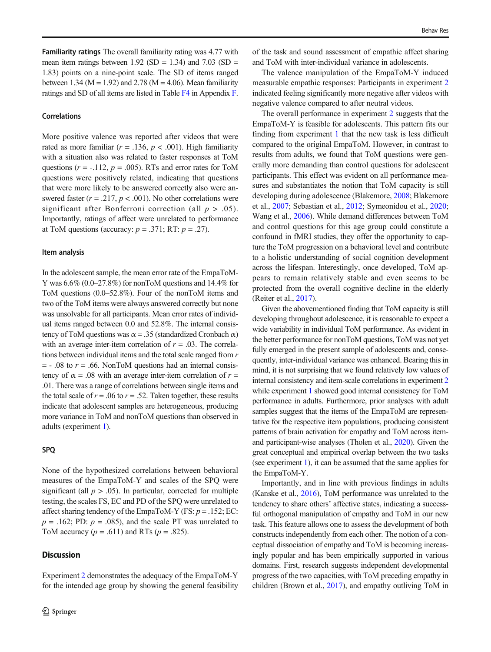## Correlations

More positive valence was reported after videos that were rated as more familiar ( $r = .136$ ,  $p < .001$ ). High familiarity with a situation also was related to faster responses at ToM questions ( $r = -.112$ ,  $p = .005$ ). RTs and error rates for ToM questions were positively related, indicating that questions that were more likely to be answered correctly also were answered faster ( $r = .217$ ,  $p < .001$ ). No other correlations were significant after Bonferroni correction (all  $p > .05$ ). Importantly, ratings of affect were unrelated to performance at ToM questions (accuracy:  $p = .371$ ; RT:  $p = .27$ ).

#### Item analysis

In the adolescent sample, the mean error rate of the EmpaToM-Y was 6.6% (0.0–27.8%) for nonToM questions and 14.4% for ToM questions (0.0–52.8%). Four of the nonToM items and two of the ToM items were always answered correctly but none was unsolvable for all participants. Mean error rates of individual items ranged between 0.0 and 52.8%. The internal consistency of ToM questions was  $\alpha = 0.35$  (standardized Cronbach  $\alpha$ ) with an average inter-item correlation of  $r = .03$ . The correlations between individual items and the total scale ranged from r  $=$  - .08 to  $r = .66$ . NonToM questions had an internal consistency of  $\alpha = .08$  with an average inter-item correlation of  $r =$ .01. There was a range of correlations between single items and the total scale of  $r = .06$  to  $r = .52$ . Taken together, these results indicate that adolescent samples are heterogeneous, producing more variance in ToM and nonToM questions than observed in adults (experiment [1](#page-2-0)).

## SPQ

None of the hypothesized correlations between behavioral measures of the EmpaToM-Y and scales of the SPQ were significant (all  $p > .05$ ). In particular, corrected for multiple testing, the scales FS, EC and PD of the SPQ were unrelated to affect sharing tendency of the EmpaToM-Y (FS:  $p = .152$ ; EC:  $p = .162$ ; PD:  $p = .085$ ), and the scale PT was unrelated to ToM accuracy  $(p = .611)$  and RTs  $(p = .825)$ .

# **Discussion**

Experiment [2](#page-7-0) demonstrates the adequacy of the EmpaToM-Y for the intended age group by showing the general feasibility of the task and sound assessment of empathic affect sharing and ToM with inter-individual variance in adolescents.

The valence manipulation of the EmpaToM-Y induced measurable empathic responses: Participants in experiment [2](#page-7-0) indicated feeling significantly more negative after videos with negative valence compared to after neutral videos.

The overall performance in experiment [2](#page-7-0) suggests that the EmpaToM-Y is feasible for adolescents. This pattern fits our finding from experiment [1](#page-2-0) that the new task is less difficult compared to the original EmpaToM. However, in contrast to results from adults, we found that ToM questions were generally more demanding than control questions for adolescent participants. This effect was evident on all performance measures and substantiates the notion that ToM capacity is still developing during adolescence (Blakemore, [2008](#page-12-0); Blakemore et al., [2007](#page-12-0); Sebastian et al., [2012;](#page-13-0) Symeonidou et al., [2020;](#page-13-0) Wang et al., [2006\)](#page-14-0). While demand differences between ToM and control questions for this age group could constitute a confound in fMRI studies, they offer the opportunity to capture the ToM progression on a behavioral level and contribute to a holistic understanding of social cognition development across the lifespan. Interestingly, once developed, ToM appears to remain relatively stable and even seems to be protected from the overall cognitive decline in the elderly (Reiter et al., [2017\)](#page-13-0).

Given the abovementioned finding that ToM capacity is still developing throughout adolescence, it is reasonable to expect a wide variability in individual ToM performance. As evident in the better performance for nonToM questions, ToM was not yet fully emerged in the present sample of adolescents and, consequently, inter-individual variance was enhanced. Bearing this in mind, it is not surprising that we found relatively low values of internal consistency and item-scale correlations in experiment [2](#page-7-0) while experiment [1](#page-2-0) showed good internal consistency for ToM performance in adults. Furthermore, prior analyses with adult samples suggest that the items of the EmpaToM are representative for the respective item populations, producing consistent patterns of brain activation for empathy and ToM across itemand participant-wise analyses (Tholen et al., [2020\)](#page-13-0). Given the great conceptual and empirical overlap between the two tasks (see experiment [1](#page-2-0)), it can be assumed that the same applies for the EmpaToM-Y.

Importantly, and in line with previous findings in adults (Kanske et al., [2016](#page-12-0)), ToM performance was unrelated to the tendency to share others' affective states, indicating a successful orthogonal manipulation of empathy and ToM in our new task. This feature allows one to assess the development of both constructs independently from each other. The notion of a conceptual dissociation of empathy and ToM is becoming increasingly popular and has been empirically supported in various domains. First, research suggests independent developmental progress of the two capacities, with ToM preceding empathy in children (Brown et al., [2017\)](#page-12-0), and empathy outliving ToM in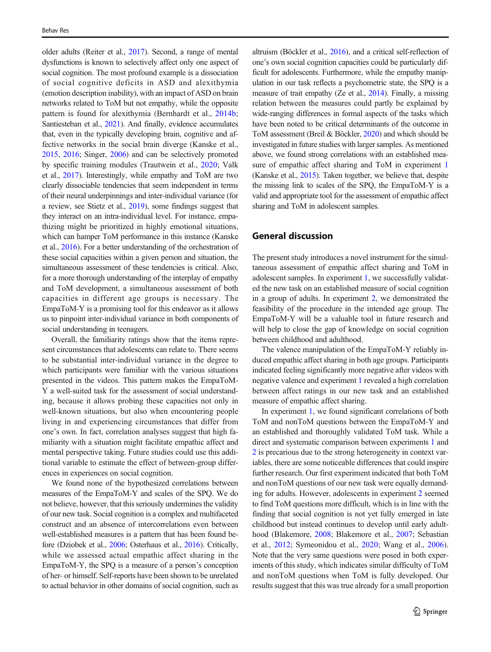older adults (Reiter et al., [2017](#page-13-0)). Second, a range of mental dysfunctions is known to selectively affect only one aspect of social cognition. The most profound example is a dissociation of social cognitive deficits in ASD and alexithymia (emotion description inability), with an impact of ASD on brain networks related to ToM but not empathy, while the opposite pattern is found for alexithymia (Bernhardt et al., [2014b](#page-12-0); Santiesteban et al., [2021](#page-13-0)). And finally, evidence accumulates that, even in the typically developing brain, cognitive and affective networks in the social brain diverge (Kanske et al., [2015,](#page-12-0) [2016](#page-12-0); Singer, [2006](#page-13-0)) and can be selectively promoted by specific training modules (Trautwein et al., [2020;](#page-13-0) Valk et al., [2017\)](#page-13-0). Interestingly, while empathy and ToM are two clearly dissociable tendencies that seem independent in terms of their neural underpinnings and inter-individual variance (for a review, see Stietz et al., [2019](#page-13-0)), some findings suggest that they interact on an intra-individual level. For instance, empathizing might be prioritized in highly emotional situations, which can hamper ToM performance in this instance (Kanske et al., [2016\)](#page-12-0). For a better understanding of the orchestration of these social capacities within a given person and situation, the simultaneous assessment of these tendencies is critical. Also, for a more thorough understanding of the interplay of empathy and ToM development, a simultaneous assessment of both capacities in different age groups is necessary. The EmpaToM-Y is a promising tool for this endeavor as it allows us to pinpoint inter-individual variance in both components of social understanding in teenagers.

Overall, the familiarity ratings show that the items represent circumstances that adolescents can relate to. There seems to be substantial inter-individual variance in the degree to which participants were familiar with the various situations presented in the videos. This pattern makes the EmpaToM-Y a well-suited task for the assessment of social understanding, because it allows probing these capacities not only in well-known situations, but also when encountering people living in and experiencing circumstances that differ from one's own. In fact, correlation analyses suggest that high familiarity with a situation might facilitate empathic affect and mental perspective taking. Future studies could use this additional variable to estimate the effect of between-group differences in experiences on social cognition.

We found none of the hypothesized correlations between measures of the EmpaToM-Y and scales of the SPQ. We do not believe, however, that this seriously undermines the validity of our new task. Social cognition is a complex and multifaceted construct and an absence of intercorrelations even between well-established measures is a pattern that has been found before (Dziobek et al., [2006;](#page-12-0) Osterhaus et al., [2016\)](#page-13-0). Critically, while we assessed actual empathic affect sharing in the EmpaToM-Y, the SPQ is a measure of a person's conception of her- or himself. Self-reports have been shown to be unrelated to actual behavior in other domains of social cognition, such as

altruism (Böckler et al., [2016\)](#page-12-0), and a critical self-reflection of one's own social cognition capacities could be particularly difficult for adolescents. Furthermore, while the empathy manipulation in our task reflects a psychometric state, the SPQ is a measure of trait empathy (Ze et al., [2014](#page-14-0)). Finally, a missing relation between the measures could partly be explained by wide-ranging differences in formal aspects of the tasks which have been noted to be critical determinants of the outcome in ToM assessment (Breil & Böckler, [2020](#page-12-0)) and which should be investigated in future studies with larger samples. As mentioned above, we found strong correlations with an established measure of empathic affect sharing and ToM in experiment [1](#page-2-0) (Kanske et al., [2015](#page-12-0)). Taken together, we believe that, despite the missing link to scales of the SPQ, the EmpaToM-Y is a valid and appropriate tool for the assessment of empathic affect sharing and ToM in adolescent samples.

## General discussion

The present study introduces a novel instrument for the simultaneous assessment of empathic affect sharing and ToM in adolescent samples. In experiment [1,](#page-2-0) we successfully validated the new task on an established measure of social cognition in a group of adults. In experiment [2,](#page-7-0) we demonstrated the feasibility of the procedure in the intended age group. The EmpaToM-Y will be a valuable tool in future research and will help to close the gap of knowledge on social cognition between childhood and adulthood.

The valence manipulation of the EmpaToM-Y reliably induced empathic affect sharing in both age groups. Participants indicated feeling significantly more negative after videos with negative valence and experiment [1](#page-2-0) revealed a high correlation between affect ratings in our new task and an established measure of empathic affect sharing.

In experiment [1,](#page-2-0) we found significant correlations of both ToM and nonToM questions between the EmpaToM-Y and an established and thoroughly validated ToM task. While a direct and systematic comparison between experiments [1](#page-2-0) and [2](#page-7-0) is precarious due to the strong heterogeneity in context variables, there are some noticeable differences that could inspire further research. Our first experiment indicated that both ToM and nonToM questions of our new task were equally demanding for adults. However, adolescents in experiment [2](#page-7-0) seemed to find ToM questions more difficult, which is in line with the finding that social cognition is not yet fully emerged in late childhood but instead continues to develop until early adulthood (Blakemore, [2008;](#page-12-0) Blakemore et al., [2007](#page-12-0); Sebastian et al., [2012](#page-13-0); Symeonidou et al., [2020;](#page-13-0) Wang et al., [2006\)](#page-14-0). Note that the very same questions were posed in both experiments of this study, which indicates similar difficulty of ToM and nonToM questions when ToM is fully developed. Our results suggest that this was true already for a small proportion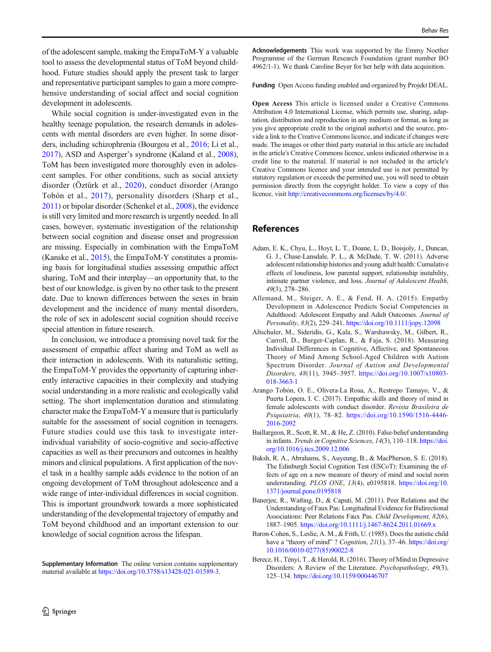<span id="page-11-0"></span>of the adolescent sample, making the EmpaToM-Y a valuable tool to assess the developmental status of ToM beyond childhood. Future studies should apply the present task to larger and representative participant samples to gain a more comprehensive understanding of social affect and social cognition development in adolescents.

While social cognition is under-investigated even in the healthy teenage population, the research demands in adolescents with mental disorders are even higher. In some disorders, including schizophrenia (Bourgou et al., [2016](#page-12-0); Li et al., [2017\)](#page-13-0), ASD and Asperger's syndrome (Kaland et al., [2008\)](#page-12-0), ToM has been investigated more thoroughly even in adolescent samples. For other conditions, such as social anxiety disorder (Öztürk et al., [2020](#page-13-0)), conduct disorder (Arango Tobón et al., 2017), personality disorders (Sharp et al., [2011\)](#page-13-0) or bipolar disorder (Schenkel et al., [2008\)](#page-13-0), the evidence is still very limited and more research is urgently needed. In all cases, however, systematic investigation of the relationship between social cognition and disease onset and progression are missing. Especially in combination with the EmpaToM (Kanske et al., [2015\)](#page-12-0), the EmpaToM-Y constitutes a promising basis for longitudinal studies assessing empathic affect sharing, ToM and their interplay—an opportunity that, to the best of our knowledge, is given by no other task to the present date. Due to known differences between the sexes in brain development and the incidence of many mental disorders, the role of sex in adolescent social cognition should receive special attention in future research.

In conclusion, we introduce a promising novel task for the assessment of empathic affect sharing and ToM as well as their interaction in adolescents. With its naturalistic setting, the EmpaToM-Y provides the opportunity of capturing inherently interactive capacities in their complexity and studying social understanding in a more realistic and ecologically valid setting. The short implementation duration and stimulating character make the EmpaToM-Y a measure that is particularly suitable for the assessment of social cognition in teenagers. Future studies could use this task to investigate interindividual variability of socio-cognitive and socio-affective capacities as well as their precursors and outcomes in healthy minors and clinical populations. A first application of the novel task in a healthy sample adds evidence to the notion of an ongoing development of ToM throughout adolescence and a wide range of inter-individual differences in social cognition. This is important groundwork towards a more sophisticated understanding of the developmental trajectory of empathy and ToM beyond childhood and an important extension to our knowledge of social cognition across the lifespan.

Supplementary Information The online version contains supplementary material available at <https://doi.org/10.3758/s13428-021-01589-3>.

Acknowledgements This work was supported by the Emmy Noether Programme of the German Research Foundation (grant number BO 4962/1-1). We thank Caroline Beyer for her help with data acquisition.

Funding Open Access funding enabled and organized by Projekt DEAL.

Open Access This article is licensed under a Creative Commons Attribution 4.0 International License, which permits use, sharing, adaptation, distribution and reproduction in any medium or format, as long as you give appropriate credit to the original author(s) and the source, provide a link to the Creative Commons licence, and indicate if changes were made. The images or other third party material in this article are included in the article's Creative Commons licence, unless indicated otherwise in a credit line to the material. If material is not included in the article's Creative Commons licence and your intended use is not permitted by statutory regulation or exceeds the permitted use, you will need to obtain permission directly from the copyright holder. To view a copy of this licence, visit [http://creativecommons.org/licenses/by/4.0/](https://doi.org/).

# **References**

- Adam, E. K., Chyu, L., Hoyt, L. T., Doane, L. D., Boisjoly, J., Duncan, G. J., Chase-Lansdale, P. L., & McDade, T. W. (2011). Adverse adolescent relationship histories and young adult health: Cumulative effects of loneliness, low parental support, relationship instability, intimate partner violence, and loss. Journal of Adolescent Health, 49(3), 278–286.
- Allemand, M., Steiger, A. E., & Fend, H. A. (2015). Empathy Development in Adolescence Predicts Social Competencies in Adulthood: Adolescent Empathy and Adult Outcomes. Journal of Personality, 83(2), 229–241. <https://doi.org/10.1111/jopy.12098>
- Altschuler, M., Sideridis, G., Kala, S., Warshawsky, M., Gilbert, R., Carroll, D., Burger-Caplan, R., & Faja, S. (2018). Measuring Individual Differences in Cognitive, Affective, and Spontaneous Theory of Mind Among School-Aged Children with Autism Spectrum Disorder. Journal of Autism and Developmental Disorders, 48(11), 3945–3957. [https://doi.org/10.1007/s10803-](https://doi.org/10.1007/s10803-018-3663-1) [018-3663-1](https://doi.org/10.1007/s10803-018-3663-1)
- Arango Tobón, O. E., Olivera-La Rosa, A., Restrepo Tamayo, V., & Puerta Lopera, I. C. (2017). Empathic skills and theory of mind in female adolescents with conduct disorder. Revista Brasileira de Psiquiatria, 40(1), 78–82. https://doi.org/10.1590/1516-4446- 2016-2092
- Baillargeon, R., Scott, R. M., & He, Z. (2010). False-belief understanding in infants. Trends in Cognitive Sciences, 14(3), 110–118. [https://doi.](https://doi.org/10.1016/j.tics.2009.12.006) [org/10.1016/j.tics.2009.12.006](https://doi.org/10.1016/j.tics.2009.12.006)
- Baksh, R. A., Abrahams, S., Auyeung, B., & MacPherson, S. E. (2018). The Edinburgh Social Cognition Test (ESCoT): Examining the effects of age on a new measure of theory of mind and social norm understanding. PLOS ONE, 13(4), e0195818. [https://doi.org/10.](https://doi.org/10.1371/journal.pone.0195818) [1371/journal.pone.0195818](https://doi.org/10.1371/journal.pone.0195818)
- Banerjee, R., Watling, D., & Caputi, M. (2011). Peer Relations and the Understanding of Faux Pas: Longitudinal Evidence for Bidirectional Associations: Peer Relations Faux Pas. Child Development, 82(6), 1887–1905. <https://doi.org/10.1111/j.1467-8624.2011.01669.x>
- Baron-Cohen, S., Leslie, A. M., & Frith, U. (1985). Does the autistic child have a "theory of mind" ? Cognition, 21(1), 37–46. [https://doi.org/](https://doi.org/10.1016/0010-0277(85)90022-8) [10.1016/0010-0277\(85\)90022-8](https://doi.org/10.1016/0010-0277(85)90022-8)
- Berecz, H., Tényi, T., & Herold, R. (2016). Theory of Mind in Depressive Disorders: A Review of the Literature. Psychopathology, 49(3), 125–134. <https://doi.org/10.1159/000446707>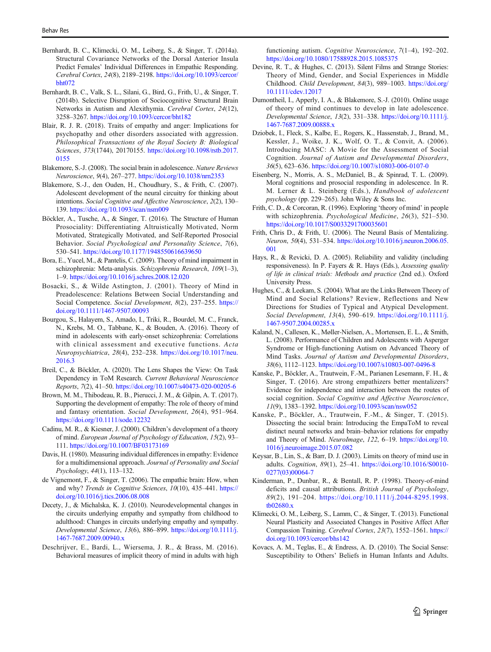- <span id="page-12-0"></span>Bernhardt, B. C., Klimecki, O. M., Leiberg, S., & Singer, T. (2014a). Structural Covariance Networks of the Dorsal Anterior Insula Predict Females' Individual Differences in Empathic Responding. Cerebral Cortex, 24(8), 2189–2198. [https://doi.org/10.1093/cercor/](https://doi.org/10.1093/cercor/bht072) [bht072](https://doi.org/10.1093/cercor/bht072)
- Bernhardt, B. C., Valk, S. L., Silani, G., Bird, G., Frith, U., & Singer, T. (2014b). Selective Disruption of Sociocognitive Structural Brain Networks in Autism and Alexithymia. Cerebral Cortex, 24(12), 3258–3267. <https://doi.org/10.1093/cercor/bht182>
- Blair, R. J. R. (2018). Traits of empathy and anger: Implications for psychopathy and other disorders associated with aggression. Philosophical Transactions of the Royal Society B: Biological Sciences, 373(1744), 20170155. [https://doi.org/10.1098/rstb.2017.](https://doi.org/10.1098/rstb.2017.0155) [0155](https://doi.org/10.1098/rstb.2017.0155)
- Blakemore, S.-J. (2008). The social brain in adolescence. Nature Reviews Neuroscience, 9(4), 267–277. <https://doi.org/10.1038/nrn2353>
- Blakemore, S.-J., den Ouden, H., Choudhury, S., & Frith, C. (2007). Adolescent development of the neural circuitry for thinking about intentions. Social Cognitive and Affective Neuroscience, 2(2), 130– 139. <https://doi.org/10.1093/scan/nsm009>
- Böckler, A., Tusche, A., & Singer, T. (2016). The Structure of Human Prosociality: Differentiating Altruistically Motivated, Norm Motivated, Strategically Motivated, and Self-Reported Prosocial Behavior. Social Psychological and Personality Science, 7(6), 530–541. <https://doi.org/10.1177/1948550616639650>
- Bora, E., Yucel, M., & Pantelis, C. (2009). Theory of mind impairment in schizophrenia: Meta-analysis. Schizophrenia Research, 109(1–3), 1–9. <https://doi.org/10.1016/j.schres.2008.12.020>
- Bosacki, S., & Wilde Astington, J. (2001). Theory of Mind in Preadolescence: Relations Between Social Understanding and Social Competence. Social Development, 8(2), 237–255. [https://](https://doi.org/10.1111/1467-9507.00093) [doi.org/10.1111/1467-9507.00093](https://doi.org/10.1111/1467-9507.00093)
- Bourgou, S., Halayem, S., Amado, I., Triki, R., Bourdel, M. C., Franck, N., Krebs, M. O., Tabbane, K., & Bouden, A. (2016). Theory of mind in adolescents with early-onset schizophrenia: Correlations with clinical assessment and executive functions. Acta Neuropsychiatrica, 28(4), 232–238. [https://doi.org/10.1017/neu.](https://doi.org/10.1017/neu.2016.3) [2016.3](https://doi.org/10.1017/neu.2016.3)
- Breil, C., & Böckler, A. (2020). The Lens Shapes the View: On Task Dependency in ToM Research. Current Behavioral Neuroscience Reports, 7(2), 41–50. <https://doi.org/10.1007/s40473-020-00205-6>
- Brown, M. M., Thibodeau, R. B., Pierucci, J. M., & Gilpin, A. T. (2017). Supporting the development of empathy: The role of theory of mind and fantasy orientation. Social Development, 26(4), 951–964. <https://doi.org/10.1111/sode.12232>
- Cadinu, M. R., & Kiesner, J. (2000). Children's development of a theory of mind. European Journal of Psychology of Education, 15(2), 93– 111. <https://doi.org/10.1007/BF03173169>
- Davis, H. (1980). Measuring individual differences in empathy: Evidence for a multidimensional approach. Journal of Personality and Social Psychology, 44(1), 113–132.
- de Vignemont, F., & Singer, T. (2006). The empathic brain: How, when and why? Trends in Cognitive Sciences, 10(10), 435–441. [https://](https://doi.org/10.1016/j.tics.2006.08.008) [doi.org/10.1016/j.tics.2006.08.008](https://doi.org/10.1016/j.tics.2006.08.008)
- Decety, J., & Michalska, K. J. (2010). Neurodevelopmental changes in the circuits underlying empathy and sympathy from childhood to adulthood: Changes in circuits underlying empathy and sympathy. Developmental Science, 13(6), 886–899. [https://doi.org/10.1111/j.](https://doi.org/10.1111/j.1467-7687.2009.00940.x) [1467-7687.2009.00940.x](https://doi.org/10.1111/j.1467-7687.2009.00940.x)
- Deschrijver, E., Bardi, L., Wiersema, J. R., & Brass, M. (2016). Behavioral measures of implicit theory of mind in adults with high

functioning autism. Cognitive Neuroscience, 7(1–4), 192–202. <https://doi.org/10.1080/17588928.2015.1085375>

- Devine, R. T., & Hughes, C. (2013). Silent Films and Strange Stories: Theory of Mind, Gender, and Social Experiences in Middle Childhood. Child Development, 84(3), 989–1003. [https://doi.org/](https://doi.org/10.1111/cdev.12017) [10.1111/cdev.12017](https://doi.org/10.1111/cdev.12017)
- Dumontheil, I., Apperly, I. A., & Blakemore, S.-J. (2010). Online usage of theory of mind continues to develop in late adolescence. Developmental Science, 13(2), 331–338. [https://doi.org/10.1111/j.](https://doi.org/10.1111/j.1467-7687.2009.00888.x) [1467-7687.2009.00888.x](https://doi.org/10.1111/j.1467-7687.2009.00888.x)
- Dziobek, I., Fleck, S., Kalbe, E., Rogers, K., Hassenstab, J., Brand, M., Kessler, J., Woike, J. K., Wolf, O. T., & Convit, A. (2006). Introducing MASC: A Movie for the Assessment of Social Cognition. Journal of Autism and Developmental Disorders, 36(5), 623–636. <https://doi.org/10.1007/s10803-006-0107-0>
- Eisenberg, N., Morris, A. S., McDaniel, B., & Spinrad, T. L. (2009). Moral cognitions and prosocial responding in adolescence. In R. M. Lerner & L. Steinberg (Eds.), Handbook of adolescent psychology (pp. 229–265). John Wiley & Sons Inc.
- Frith, C. D., & Corcoran, R. (1996). Exploring 'theory of mind' in people with schizophrenia. Psychological Medicine, 26(3), 521–530. <https://doi.org/10.1017/S0033291700035601>
- Frith, Chris D., & Frith, U. (2006). The Neural Basis of Mentalizing. Neuron, 50(4), 531–534. [https://doi.org/10.1016/j.neuron.2006.05.](https://doi.org/10.1016/j.neuron.2006.05.001) [001](https://doi.org/10.1016/j.neuron.2006.05.001)
- Hays, R., & Revicki, D. A. (2005). Reliability and validity (including responsiveness). In P. Fayers & R. Hays (Eds.), Assessing quality of life in clinical trials: Methods and practice (2nd ed.). Oxford University Press.
- Hughes, C., & Leekam, S. (2004). What are the Links Between Theory of Mind and Social Relations? Review, Reflections and New Directions for Studies of Typical and Atypical Development. Social Development, 13(4), 590–619. [https://doi.org/10.1111/j.](https://doi.org/10.1111/j.1467-9507.2004.00285.x) [1467-9507.2004.00285.x](https://doi.org/10.1111/j.1467-9507.2004.00285.x)
- Kaland, N., Callesen, K., Møller-Nielsen, A., Mortensen, E. L., & Smith, L. (2008). Performance of Children and Adolescents with Asperger Syndrome or High-functioning Autism on Advanced Theory of Mind Tasks. Journal of Autism and Developmental Disorders, 38(6), 1112–1123. <https://doi.org/10.1007/s10803-007-0496-8>
- Kanske, P., Böckler, A., Trautwein, F.-M., Parianen Lesemann, F. H., & Singer, T. (2016). Are strong empathizers better mentalizers? Evidence for independence and interaction between the routes of social cognition. Social Cognitive and Affective Neuroscience, 11(9), 1383–1392. <https://doi.org/10.1093/scan/nsw052>
- Kanske, P., Böckler, A., Trautwein, F.-M., & Singer, T. (2015). Dissecting the social brain: Introducing the EmpaToM to reveal distinct neural networks and brain–behavior relations for empathy and Theory of Mind. NeuroImage, 122, 6-19. [https://doi.org/10.](https://doi.org/10.1016/j.neuroimage.2015.07.082) [1016/j.neuroimage.2015.07.082](https://doi.org/10.1016/j.neuroimage.2015.07.082)
- Keysar, B., Lin, S., & Barr, D. J. (2003). Limits on theory of mind use in adults. Cognition, 89(1), 25–41. [https://doi.org/10.1016/S0010-](https://doi.org/10.1016/S0010-0277(03)00064-7) [0277\(03\)00064-7](https://doi.org/10.1016/S0010-0277(03)00064-7)
- Kinderman, P., Dunbar, R., & Bentall, R. P. (1998). Theory-of-mind deficits and causal attributions. British Journal of Psychology, 89(2), 191–204. [https://doi.org/10.1111/j.2044-8295.1998.](https://doi.org/10.1111/j.2044-8295.1998.tb02680.x) [tb02680.x](https://doi.org/10.1111/j.2044-8295.1998.tb02680.x)
- Klimecki, O. M., Leiberg, S., Lamm, C., & Singer, T. (2013). Functional Neural Plasticity and Associated Changes in Positive Affect After Compassion Training. Cerebral Cortex, 23(7), 1552–1561. [https://](https://doi.org/10.1093/cercor/bhs142) [doi.org/10.1093/cercor/bhs142](https://doi.org/10.1093/cercor/bhs142)
- Kovacs, A. M., Teglas, E., & Endress, A. D. (2010). The Social Sense: Susceptibility to Others' Beliefs in Human Infants and Adults.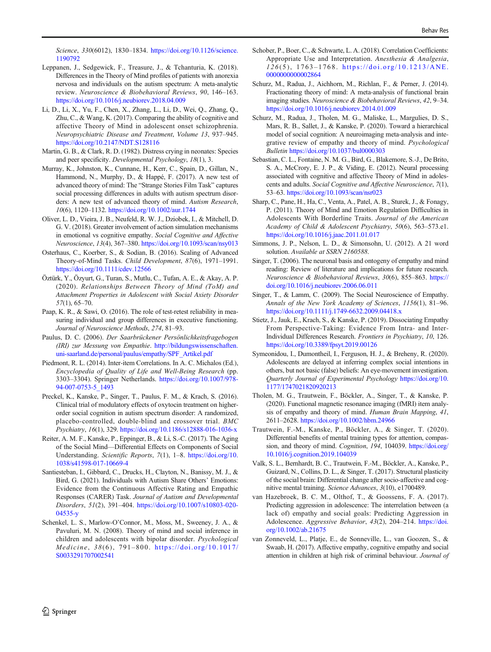<span id="page-13-0"></span>Science, 330(6012), 1830-1834. [https://doi.org/10.1126/science.](https://doi.org/10.1126/science.1190792) [1190792](https://doi.org/10.1126/science.1190792)

- Leppanen, J., Sedgewick, F., Treasure, J., & Tchanturia, K. (2018). Differences in the Theory of Mind profiles of patients with anorexia nervosa and individuals on the autism spectrum: A meta-analytic review. Neuroscience & Biobehavioral Reviews, 90, 146–163. <https://doi.org/10.1016/j.neubiorev.2018.04.009>
- Li, D., Li, X., Yu, F., Chen, X., Zhang, L., Li, D., Wei, Q., Zhang, Q., Zhu, C., & Wang, K. (2017). Comparing the ability of cognitive and affective Theory of Mind in adolescent onset schizophrenia. Neuropsychiatric Disease and Treatment, Volume 13, 937–945. <https://doi.org/10.2147/NDT.S128116>
- Martin, G. B., & Clark, R. D. (1982). Distress crying in neonates: Species and peer specificity. Developmental Psychology, 18(1), 3.
- Murray, K., Johnston, K., Cunnane, H., Kerr, C., Spain, D., Gillan, N., Hammond, N., Murphy, D., & Happé, F. (2017). A new test of advanced theory of mind: The "Strange Stories Film Task" captures social processing differences in adults with autism spectrum disorders: A new test of advanced theory of mind. Autism Research, 10(6), 1120–1132. <https://doi.org/10.1002/aur.1744>
- Oliver, L. D., Vieira, J. B., Neufeld, R. W. J., Dziobek, I., & Mitchell, D. G. V. (2018). Greater involvement of action simulation mechanisms in emotional vs cognitive empathy. Social Cognitive and Affective Neuroscience, 13(4), 367–380. <https://doi.org/10.1093/scan/nsy013>
- Osterhaus, C., Koerber, S., & Sodian, B. (2016). Scaling of Advanced Theory-of-Mind Tasks. Child Development, 87(6), 1971–1991. <https://doi.org/10.1111/cdev.12566>
- Öztürk, Y., Özyurt, G., Turan, S., Mutlu, C., Tufan, A. E., & Akay, A. P. (2020). Relationships Between Theory of Mind (ToM) and Attachment Properties in Adolescent with Social Axiety Disorder 57(1), 65–70.
- Paap, K. R., & Sawi, O. (2016). The role of test-retest reliability in measuring individual and group differences in executive functioning. Journal of Neuroscience Methods, 274, 81–93.
- Paulus, D. C. (2006). Der Saarbrückener Persönlichkeitsfragebogen (IRI) zur Messung von Empathie. [http://bildungswissenschaften.](http://bildungswissenschaften.uni-saarland.de/personal/paulus/empathy/SPF_Artikel.pdf) [uni-saarland.de/personal/paulus/empathy/SPF\\_Artikel.pdf](http://bildungswissenschaften.uni-saarland.de/personal/paulus/empathy/SPF_Artikel.pdf)
- Piedmont, R. L. (2014). Inter-item Correlations. In A. C. Michalos (Ed.), Encyclopedia of Quality of Life and Well-Being Research (pp. 3303–3304). Springer Netherlands. [https://doi.org/10.1007/978-](https://doi.org/10.1007/978-94-007-0753-5_1493) [94-007-0753-5\\_1493](https://doi.org/10.1007/978-94-007-0753-5_1493)
- Preckel, K., Kanske, P., Singer, T., Paulus, F. M., & Krach, S. (2016). Clinical trial of modulatory effects of oxytocin treatment on higherorder social cognition in autism spectrum disorder: A randomized, placebo-controlled, double-blind and crossover trial. BMC Psychiatry, 16(1), 329. <https://doi.org/10.1186/s12888-016-1036-x>
- Reiter, A. M. F., Kanske, P., Eppinger, B., & Li, S.-C. (2017). The Aging of the Social Mind—Differential Effects on Components of Social Understanding. Scientific Reports, 7(1), 1–8. [https://doi.org/10.](https://doi.org/10.1038/s41598-017-10669-4) [1038/s41598-017-10669-4](https://doi.org/10.1038/s41598-017-10669-4)
- Santiesteban, I., Gibbard, C., Drucks, H., Clayton, N., Banissy, M. J., & Bird, G. (2021). Individuals with Autism Share Others' Emotions: Evidence from the Continuous Affective Rating and Empathic Responses (CARER) Task. Journal of Autism and Developmental Disorders, 51(2), 391–404. [https://doi.org/10.1007/s10803-020-](https://doi.org/10.1007/s10803-020-04535-y) [04535-y](https://doi.org/10.1007/s10803-020-04535-y)
- Schenkel, L. S., Marlow-O'Connor, M., Moss, M., Sweeney, J. A., & Pavuluri, M. N. (2008). Theory of mind and social inference in children and adolescents with bipolar disorder. Psychological Medicine, 38(6), 791-800. [https://doi.org/10.1017/](https://doi.org/10.1017/S0033291707002541) [S0033291707002541](https://doi.org/10.1017/S0033291707002541)
- Schober, P., Boer, C., & Schwarte, L. A. (2018). Correlation Coefficients: Appropriate Use and Interpretation. Anesthesia & Analgesia, 126 (5), 1763 – 1768. [https://doi.org/10.1213/ANE.](https://doi.org/10.1213/ANE.0000000000002864) [0000000000002864](https://doi.org/10.1213/ANE.0000000000002864)
- Schurz, M., Radua, J., Aichhorn, M., Richlan, F., & Perner, J. (2014). Fractionating theory of mind: A meta-analysis of functional brain imaging studies. Neuroscience & Biobehavioral Reviews, 42, 9–34. <https://doi.org/10.1016/j.neubiorev.2014.01.009>
- Schurz, M., Radua, J., Tholen, M. G., Maliske, L., Margulies, D. S., Mars, R. B., Sallet, J., & Kanske, P. (2020). Toward a hierarchical model of social cognition: A neuroimaging meta-analysis and integrative review of empathy and theory of mind. Psychological Bulletin <https://doi.org/10.1037/bul0000303>
- Sebastian, C. L., Fontaine, N. M. G., Bird, G., Blakemore, S.-J., De Brito, S. A., McCrory, E. J. P., & Viding, E. (2012). Neural processing associated with cognitive and affective Theory of Mind in adolescents and adults. Social Cognitive and Affective Neuroscience, 7(1), 53–63. <https://doi.org/10.1093/scan/nsr023>
- Sharp, C., Pane, H., Ha, C., Venta, A., Patel, A. B., Sturek, J., & Fonagy, P. (2011). Theory of Mind and Emotion Regulation Difficulties in Adolescents With Borderline Traits. Journal of the American Academy of Child & Adolescent Psychiatry, 50(6), 563–573.e1. <https://doi.org/10.1016/j.jaac.2011.01.017>
- Simmons, J. P., Nelson, L. D., & Simonsohn, U. (2012). A 21 word solution. Available at SSRN 2160588.
- Singer, T. (2006). The neuronal basis and ontogeny of empathy and mind reading: Review of literature and implications for future research. Neuroscience & Biobehavioral Reviews, 30(6), 855-863. [https://](https://doi.org/10.1016/j.neubiorev.2006.06.011) [doi.org/10.1016/j.neubiorev.2006.06.011](https://doi.org/10.1016/j.neubiorev.2006.06.011)
- Singer, T., & Lamm, C. (2009). The Social Neuroscience of Empathy. Annals of the New York Academy of Sciences, 1156(1), 81–96. <https://doi.org/10.1111/j.1749-6632.2009.04418.x>
- Stietz, J., Jauk, E., Krach, S., & Kanske, P. (2019). Dissociating Empathy From Perspective-Taking: Evidence From Intra- and Inter-Individual Differences Research. Frontiers in Psychiatry, 10, 126. <https://doi.org/10.3389/fpsyt.2019.00126>
- Symeonidou, I., Dumontheil, I., Ferguson, H. J., & Breheny, R. (2020). Adolescents are delayed at inferring complex social intentions in others, but not basic (false) beliefs: An eye-movement investigation. Quarterly Journal of Experimental Psychology [https://doi.org/10.](https://doi.org/10.1177/1747021820920213) [1177/1747021820920213](https://doi.org/10.1177/1747021820920213)
- Tholen, M. G., Trautwein, F., Böckler, A., Singer, T., & Kanske, P. (2020). Functional magnetic resonance imaging (fMRI) item analysis of empathy and theory of mind. Human Brain Mapping, 41, 2611–2628. <https://doi.org/10.1002/hbm.24966>
- Trautwein, F.-M., Kanske, P., Böckler, A., & Singer, T. (2020). Differential benefits of mental training types for attention, compassion, and theory of mind. Cognition, 194, 104039. [https://doi.org/](https://doi.org/10.1016/j.cognition.2019.104039) [10.1016/j.cognition.2019.104039](https://doi.org/10.1016/j.cognition.2019.104039)
- Valk, S. L., Bernhardt, B. C., Trautwein, F.-M., Böckler, A., Kanske, P., Guizard, N., Collins, D. L., & Singer, T. (2017). Structural plasticity of the social brain: Differential change after socio-affective and cognitive mental training. Science Advances, 3(10), e1700489.
- van Hazebroek, B. C. M., Olthof, T., & Goossens, F. A. (2017). Predicting aggression in adolescence: The interrelation between (a lack of) empathy and social goals: Predicting Aggression in Adolescence. Aggressive Behavior, 43(2), 204–214. [https://doi.](https://doi.org/10.1002/ab.21675) [org/10.1002/ab.21675](https://doi.org/10.1002/ab.21675)
- van Zonneveld, L., Platje, E., de Sonneville, L., van Goozen, S., & Swaab, H. (2017). Affective empathy, cognitive empathy and social attention in children at high risk of criminal behaviour. Journal of